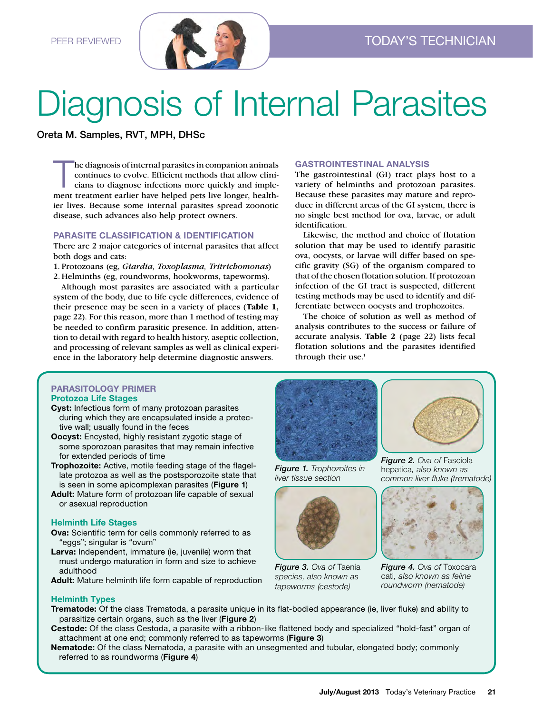

# Diagnosis of Internal Parasites

Oreta M. Samples, RVT, MPH, DHSc

ment<br>ier liv<br>diseas he diagnosis of internal parasites in companion animals continues to evolve. Efficient methods that allow clinicians to diagnose infections more quickly and implement treatment earlier have helped pets live longer, healthier lives. Because some internal parasites spread zoonotic disease, such advances also help protect owners.

#### PARASITE CLASSIFICATION & IDENTIFICATION

There are 2 major categories of internal parasites that affect both dogs and cats:

1. Protozoans (eg, *Giardia, Toxoplasma, Tritrichomonas*) 2. Helminths (eg, roundworms, hookworms, tapeworms).

Although most parasites are associated with a particular system of the body, due to life cycle differences, evidence of their presence may be seen in a variety of places (**Table 1,**  page 22). For this reason, more than 1 method of testing may be needed to confirm parasitic presence. In addition, attention to detail with regard to health history, aseptic collection, and processing of relevant samples as well as clinical experience in the laboratory help determine diagnostic answers.

# PARASITOLOGY PRIMER Protozoa Life Stages

- Cyst: Infectious form of many protozoan parasites
- during which they are encapsulated inside a protective wall; usually found in the feces Oocyst: Encysted, highly resistant zygotic stage of
- some sporozoan parasites that may remain infective for extended periods of time
- Trophozoite: Active, motile feeding stage of the flagellate protozoa as well as the postsporozoite state that is seen in some apicomplexan parasites (Figure 1)
- Adult: Mature form of protozoan life capable of sexual or asexual reproduction

# Helminth Life Stages

- Ova: Scientific term for cells commonly referred to as "eggs"; singular is "ovum"
- Larva: Independent, immature (ie, juvenile) worm that must undergo maturation in form and size to achieve adulthood
- Adult: Mature helminth life form capable of reproduction

# Helminth Types

- Trematode: Of the class Trematoda, a parasite unique in its flat-bodied appearance (ie, liver fluke) and ability to parasitize certain organs, such as the liver (Figure 2)
- Cestode: Of the class Cestoda, a parasite with a ribbon-like flattened body and specialized "hold-fast" organ of attachment at one end; commonly referred to as tapeworms (Figure 3)
- Nematode: Of the class Nematoda, a parasite with an unsegmented and tubular, elongated body; commonly referred to as roundworms (Figure 4)

#### GASTROINTESTINAL ANALYSIS

The gastrointestinal (GI) tract plays host to a variety of helminths and protozoan parasites. Because these parasites may mature and reproduce in different areas of the GI system, there is no single best method for ova, larvae, or adult identification.

Likewise, the method and choice of flotation solution that may be used to identify parasitic ova, oocysts, or larvae will differ based on specific gravity (SG) of the organism compared to that of the chosen flotation solution. If protozoan infection of the GI tract is suspected, different testing methods may be used to identify and differentiate between oocysts and trophozoites.

The choice of solution as well as method of analysis contributes to the success or failure of accurate analysis. **Table 2 (**page 22) lists fecal flotation solutions and the parasites identified through their use.<sup>1</sup>



*Figure 1. Trophozoites in liver tissue section*



*Figure 3. Ova of* Taenia *species, also known as tapeworms (cestode)*



*Figure 2. Ova of* Fasciola hepatica*, also known as common liver fluke (trematode)*



**Figure 4.** Ova of Toxocara cati*, also known as feline roundworm (nematode)*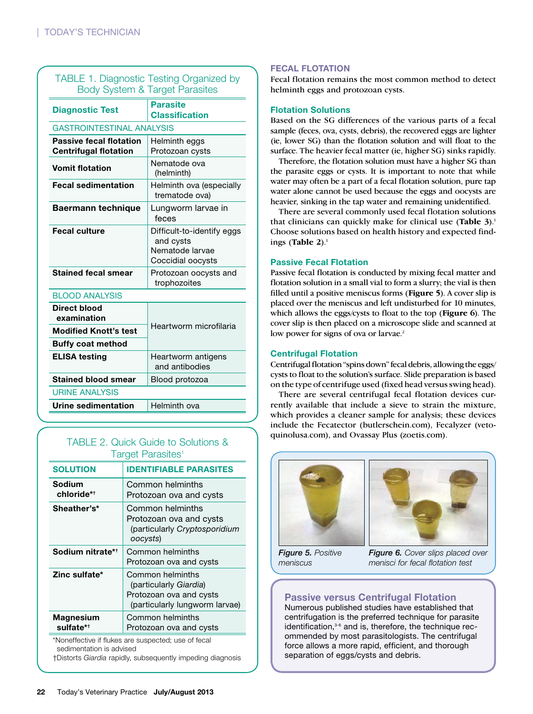| TABLE 1. Diagnostic Testing Organized by |
|------------------------------------------|
| Body System & Target Parasites           |

| <b>Diagnostic Test</b>                                         | <b>Parasite</b><br><b>Classification</b>                                        |  |
|----------------------------------------------------------------|---------------------------------------------------------------------------------|--|
| <b>GASTROINTESTINAL ANALYSIS</b>                               |                                                                                 |  |
| <b>Passive fecal flotation</b><br><b>Centrifugal flotation</b> | Helminth eggs<br>Protozoan cysts                                                |  |
| <b>Vomit flotation</b>                                         | Nematode ova<br>(helminth)                                                      |  |
| <b>Fecal sedimentation</b>                                     | Helminth ova (especially<br>trematode ova)                                      |  |
| <b>Baermann technique</b>                                      | Lungworm larvae in<br>feces                                                     |  |
| <b>Fecal culture</b>                                           | Difficult-to-identify eggs<br>and cysts<br>Nematode larvae<br>Coccidial oocysts |  |
| <b>Stained fecal smear</b>                                     | Protozoan oocysts and<br>trophozoites                                           |  |

BLOOD ANALYSIS

| Direct blood<br>examination  | Heartworm microfilaria               |
|------------------------------|--------------------------------------|
| <b>Modified Knott's test</b> |                                      |
| <b>Buffy coat method</b>     |                                      |
| <b>ELISA testing</b>         | Heartworm antigens<br>and antibodies |
| <b>Stained blood smear</b>   | Blood protozoa                       |
| <b>URINE ANALYSIS</b>        |                                      |
| Urine sedimentation          | Helminth ova                         |
|                              |                                      |

# TABLe 2. Quick Guide to Solutions & Target Parasites<sup>1</sup>

| <b>SOLUTION</b>                                   | <b>IDENTIFIABLE PARASITES</b>                                                                           |  |
|---------------------------------------------------|---------------------------------------------------------------------------------------------------------|--|
| Sodium<br>chloride* <sup>†</sup>                  | Common helminths<br>Protozoan ova and cysts                                                             |  |
| Sheather's*                                       | Common helminths<br>Protozoan ova and cysts<br>(particularly Cryptosporidium<br>oocysts)                |  |
| Sodium nitrate* <sup>†</sup>                      | Common helminths<br>Protozoan ova and cysts                                                             |  |
| Zinc sulfate*                                     | Common helminths<br>(particularly Giardia)<br>Protozoan ova and cysts<br>(particularly lungworm larvae) |  |
| <b>Magnesium</b><br>sulfate* <sup>+</sup>         | Common helminths<br>Protozoan ova and cysts                                                             |  |
| *Nonoffective if fluken are avanagedy use of food |                                                                                                         |  |

\*Noneffective if flukes are suspected; use of fecal sedimentation is advised

†distorts *Giardia* rapidly, subsequently impeding diagnosis

# FECAL FLOTATION

Fecal flotation remains the most common method to detect helminth eggs and protozoan cysts.

# Flotation Solutions

Based on the SG differences of the various parts of a fecal sample (feces, ova, cysts, debris), the recovered eggs are lighter (ie, lower SG) than the flotation solution and will float to the surface. The heavier fecal matter (ie, higher SG) sinks rapidly.

Therefore, the flotation solution must have a higher SG than the parasite eggs or cysts. It is important to note that while water may often be a part of a fecal flotation solution, pure tap water alone cannot be used because the eggs and oocysts are heavier, sinking in the tap water and remaining unidentified.

There are several commonly used fecal flotation solutions that clinicians can quickly make for clinical use (**Table 3**).<sup>1</sup> Choose solutions based on health history and expected findings (Table 2).<sup>1</sup>

# Passive Fecal Flotation

Passive fecal flotation is conducted by mixing fecal matter and flotation solution in a small vial to form a slurry; the vial is then filled until a positive meniscus forms (**Figure 5**). A cover slip is placed over the meniscus and left undisturbed for 10 minutes, which allows the eggs/cysts to float to the top (**Figure 6**). The cover slip is then placed on a microscope slide and scanned at low power for signs of ova or larvae.<sup>2</sup>

# Centrifugal Flotation

Centrifugal flotation "spins down" fecal debris, allowing the eggs/ cysts to float to the solution's surface. Slide preparation is based on the type of centrifuge used (fixed head versus swing head).

There are several centrifugal fecal flotation devices currently available that include a sieve to strain the mixture, which provides a cleaner sample for analysis; these devices include the Fecatector [\(butlerschein.com\)](http://butlerschein.com), Fecalyzer [\(veto](http://www.vetoquinolusa.com)[quinolusa.com\)](http://www.vetoquinolusa.com), and Ovassay Plus [\(zoetis.com\)](http://zoetis.com).





*Figure 5. Positive meniscus*

*Figure 6. Cover slips placed over menisci for fecal flotation test*

# Passive versus Centrifugal Flotation

numerous published studies have established that centrifugation is the preferred technique for parasite identification,<sup>3-6</sup> and is, therefore, the technique recommended by most parasitologists. The centrifugal force allows a more rapid, efficient, and thorough separation of eggs/cysts and debris.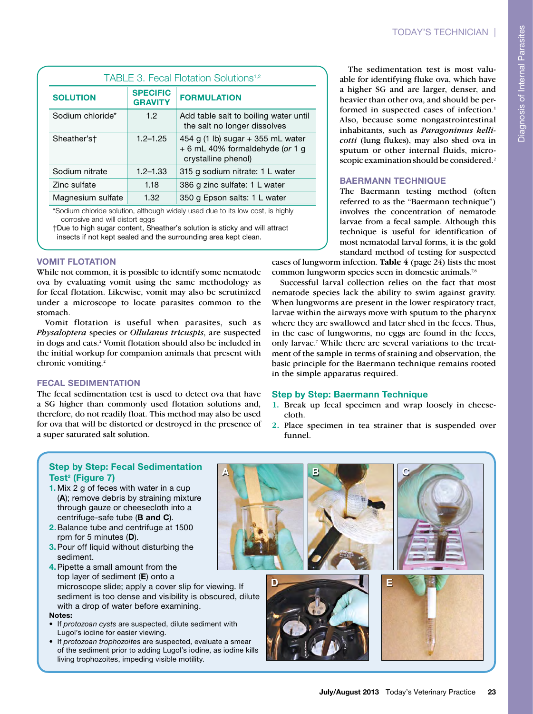| í |        |
|---|--------|
|   | ۰      |
|   |        |
|   | l      |
|   | l      |
|   | j<br>j |

| <b>TABLE 3. Fecal Flotation Solutions<sup>1,2</sup></b> |                                   |                                                                                               |  |
|---------------------------------------------------------|-----------------------------------|-----------------------------------------------------------------------------------------------|--|
| <b>SOLUTION</b>                                         | <b>SPECIFIC</b><br><b>GRAVITY</b> | <b>FORMULATION</b>                                                                            |  |
| Sodium chloride*                                        | 1.2 <sub>2</sub>                  | Add table salt to boiling water until<br>the salt no longer dissolves                         |  |
| Sheather'st                                             | $1.2 - 1.25$                      | 454 g (1 lb) sugar $+$ 355 mL water<br>+ 6 mL 40% formaldehyde (or 1 g<br>crystalline phenol) |  |
| Sodium nitrate                                          | $1.2 - 1.33$                      | 315 g sodium nitrate: 1 L water                                                               |  |
| Zinc sulfate                                            | 1.18                              | 386 g zinc sulfate: 1 L water                                                                 |  |
| Magnesium sulfate                                       | 1.32                              | 350 g Epson salts: 1 L water                                                                  |  |
|                                                         |                                   |                                                                                               |  |

\*Sodium chloride solution, although widely used due to its low cost, is highly corrosive and will distort eggs

†Due to high sugar content, Sheather's solution is sticky and will attract insects if not kept sealed and the surrounding area kept clean.

# VOMIT FLOTATION

While not common, it is possible to identify some nematode ova by evaluating vomit using the same methodology as for fecal flotation. Likewise, vomit may also be scrutinized under a microscope to locate parasites common to the stomach.

Vomit flotation is useful when parasites, such as *Physaloptera* species or *Ollulanus tricuspis*, are suspected in dogs and cats.<sup>2</sup> Vomit flotation should also be included in the initial workup for companion animals that present with chronic vomiting.<sup>2</sup>

# FECAL SEDIMENTATION

The fecal sedimentation test is used to detect ova that have a SG higher than commonly used flotation solutions and, therefore, do not readily float. This method may also be used for ova that will be distorted or destroyed in the presence of a super saturated salt solution.

The sedimentation test is most valuable for identifying fluke ova, which have a higher SG and are larger, denser, and heavier than other ova, and should be performed in suspected cases of infection.<sup>1</sup> Also, because some nongastrointestinal inhabitants, such as *Paragonimus kellicotti* (lung flukes), may also shed ova in sputum or other internal fluids, microscopic examination should be considered.<sup>2</sup>

# BAERMANN TECHNIQUE

The Baermann testing method (often referred to as the "Baermann technique") involves the concentration of nematode larvae from a fecal sample. Although this technique is useful for identification of most nematodal larval forms, it is the gold standard method of testing for suspected

cases of lungworm infection. **Table 4** (page 24) lists the most common lungworm species seen in domestic animals.<sup>7,8</sup>

Successful larval collection relies on the fact that most nematode species lack the ability to swim against gravity. When lungworms are present in the lower respiratory tract, larvae within the airways move with sputum to the pharynx where they are swallowed and later shed in the feces. Thus, in the case of lungworms, no eggs are found in the feces, only larvae.<sup>7</sup> While there are several variations to the treatment of the sample in terms of staining and observation, the basic principle for the Baermann technique remains rooted in the simple apparatus required.

# Step by Step: Baermann Technique

- **1.** Break up fecal specimen and wrap loosely in cheesecloth.
- **2.** Place specimen in tea strainer that is suspended over funnel.

# Step by Step: Fecal Sedimentation Test<sup>2</sup> (Figure 7)

- 1. Mix 2 g of feces with water in a cup (A); remove debris by straining mixture through gauze or cheesecloth into a centrifuge-safe tube (B and C).
- 2. Balance tube and centrifuge at 1500 rpm for 5 minutes (D).
- 3. Pour off liquid without disturbing the sediment.
- 4. Pipette a small amount from the top layer of sediment (E) onto a microscope slide; apply a cover slip for viewing. if sediment is too dense and visibility is obscured, dilute with a drop of water before examining.
- Notes:
- If *protozoan cysts* are suspected, dilute sediment with Lugol's iodine for easier viewing.
- If *protozoan trophozoites* are suspected, evaluate a smear of the sediment prior to adding Lugol's iodine, as iodine kills living trophozoites, impeding visible motility.

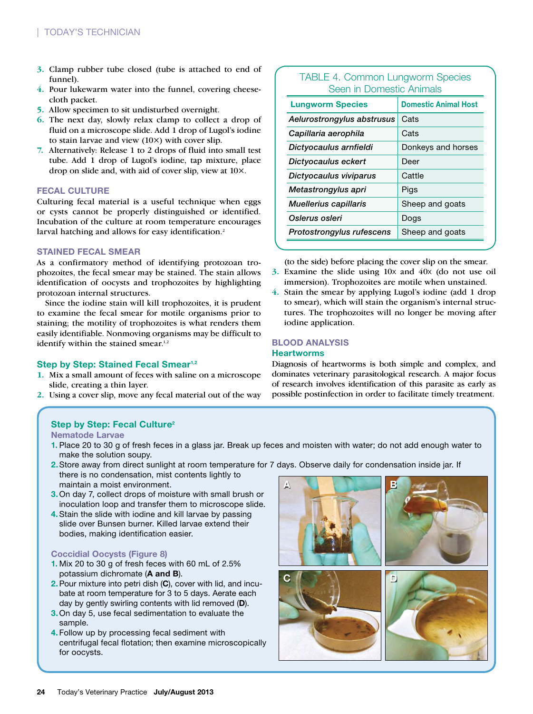- **3.** Clamp rubber tube closed (tube is attached to end of funnel).
- **4.** Pour lukewarm water into the funnel, covering cheesecloth packet.
- **5.** Allow specimen to sit undisturbed overnight.
- **6.** The next day, slowly relax clamp to collect a drop of fluid on a microscope slide. Add 1 drop of Lugol's iodine to stain larvae and view (10×) with cover slip.
- **7.** Alternatively: Release 1 to 2 drops of fluid into small test tube. Add 1 drop of Lugol's iodine, tap mixture, place drop on slide and, with aid of cover slip, view at 10×.

#### FECAL CULTURE

Culturing fecal material is a useful technique when eggs or cysts cannot be properly distinguished or identified. Incubation of the culture at room temperature encourages larval hatching and allows for easy identification.<sup>2</sup>

#### STAINED FECAL SMEAR

As a confirmatory method of identifying protozoan trophozoites, the fecal smear may be stained. The stain allows identification of oocysts and trophozoites by highlighting protozoan internal structures.

Since the iodine stain will kill trophozoites, it is prudent to examine the fecal smear for motile organisms prior to staining; the motility of trophozoites is what renders them easily identifiable. Nonmoving organisms may be difficult to identify within the stained smear.<sup>1,2</sup>

#### Step by Step: Stained Fecal Smear<sup>1,2</sup>

- **1.** Mix a small amount of feces with saline on a microscope slide, creating a thin layer.
- **2.** Using a cover slip, move any fecal material out of the way

# TABLE 4. Common Lungworm Species<br>Seen in Domestic Animals

| <b>Lungworm Species</b>    | <b>Domestic Animal Host</b> |
|----------------------------|-----------------------------|
| Aelurostrongylus abstrusus | Cats                        |
| Capillaria aerophila       | Cats                        |
| Dictyocaulus arnfieldi     | Donkeys and horses          |
| Dictyocaulus eckert        | Deer                        |
| Dictyocaulus viviparus     | Cattle                      |
| Metastrongylus apri        | Pigs                        |
| Muellerius capillaris      | Sheep and goats             |
| Oslerus osleri             | Dogs                        |
| Protostrongylus rufescens  | Sheep and goats             |
|                            |                             |

(to the side) before placing the cover slip on the smear.

- **3.** Examine the slide using 10x and 40x (do not use oil immersion). Trophozoites are motile when unstained.
- **4.** Stain the smear by applying Lugol's iodine (add 1 drop to smear), which will stain the organism's internal structures. The trophozoites will no longer be moving after iodine application.

#### BLOOD ANALYSIS **Heartworms**

Diagnosis of heartworms is both simple and complex, and dominates veterinary parasitological research. A major focus of research involves identification of this parasite as early as possible postinfection in order to facilitate timely treatment.

# Step by Step: Fecal Culture<sup>2</sup>

#### Nematode Larvae

- 1. Place 20 to 30 g of fresh feces in a glass jar. Break up feces and moisten with water; do not add enough water to make the solution soupy.
- 2. Store away from direct sunlight at room temperature for 7 days. Observe daily for condensation inside jar. If there is no condensation, mist contents lightly to maintain a moist environment.
- 3. On day 7, collect drops of moisture with small brush or inoculation loop and transfer them to microscope slide.
- 4. Stain the slide with iodine and kill larvae by passing slide over Bunsen burner. Killed larvae extend their bodies, making identification easier.

#### Coccidial Oocysts (Figure 8)

- 1. Mix 20 to 30 g of fresh feces with 60 mL of 2.5% potassium dichromate (A and B).
- 2. Pour mixture into petri dish (C), cover with lid, and incubate at room temperature for 3 to 5 days. Aerate each day by gently swirling contents with lid removed (D).
- **3.** On day 5, use fecal sedimentation to evaluate the sample.
- 4. Follow up by processing fecal sediment with centrifugal fecal flotation; then examine microscopically for oocysts.

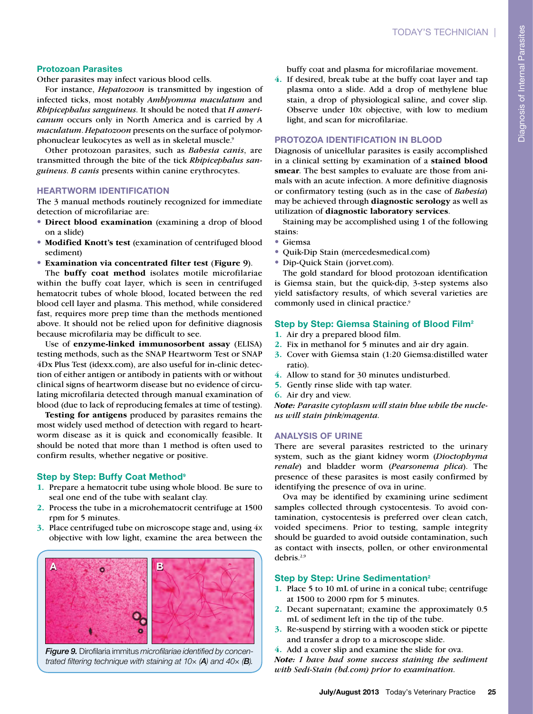#### Protozoan Parasites

Other parasites may infect various blood cells.

For instance, *Hepatozoon* is transmitted by ingestion of infected ticks, most notably *Amblyomma maculatum* and *Rhipicephalus sanguineus*. It should be noted that *H americanum* occurs only in North America and is carried by *A maculatum*. *Hepatozoon* presents on the surface of polymorphonuclear leukocytes as well as in skeletal muscle.<sup>9</sup>

Other protozoan parasites, such as *Babesia canis*, are transmitted through the bite of the tick *Rhipicephalus sanguineus*. *B canis* presents within canine erythrocytes.

#### HEARTWORM IDENTIFICATION

The 3 manual methods routinely recognized for immediate detection of microfilariae are:

- **Direct blood examination** (examining a drop of blood on a slide)
- • **Modified Knott's test** (examination of centrifuged blood sediment)
- **Examination via concentrated filter test** (**Figure 9**).

The **buffy coat method** isolates motile microfilariae within the buffy coat layer, which is seen in centrifuged hematocrit tubes of whole blood, located between the red blood cell layer and plasma. This method, while considered fast, requires more prep time than the methods mentioned above. It should not be relied upon for definitive diagnosis because microfilaria may be difficult to see.

Use of **enzyme-linked immunosorbent assay** (ELISA) testing methods, such as the SNAP Heartworm Test or SNAP 4Dx Plus Test [\(idexx.com\)](http://idexx.com), are also useful for in-clinic detection of either antigen or antibody in patients with or without clinical signs of heartworm disease but no evidence of circulating microfilaria detected through manual examination of blood (due to lack of reproducing females at time of testing).

**Testing for antigens** produced by parasites remains the most widely used method of detection with regard to heartworm disease as it is quick and economically feasible. It should be noted that more than 1 method is often used to confirm results, whether negative or positive.

#### Step by Step: Buffy Coat Method<sup>9</sup>

- **1.** Prepare a hematocrit tube using whole blood. Be sure to seal one end of the tube with sealant clay.
- **2.** Process the tube in a microhematocrit centrifuge at 1500 rpm for 5 minutes.
- **3.** Place centrifuged tube on microscope stage and, using 4x objective with low light, examine the area between the



**Figure 9.** Dirofilaria immitus *microfilariae identified by concentrated filtering technique with staining at 10× (A) and 40× (B).* 

buffy coat and plasma for microfilariae movement.

**4.** If desired, break tube at the buffy coat layer and tap plasma onto a slide. Add a drop of methylene blue stain, a drop of physiological saline, and cover slip. Observe under 10x objective, with low to medium light, and scan for microfilariae.

#### PROTOZOA IDENTIFICATION IN BLOOD

Diagnosis of unicellular parasites is easily accomplished in a clinical setting by examination of a **stained blood smear**. The best samples to evaluate are those from animals with an acute infection. A more definitive diagnosis or confirmatory testing (such as in the case of *Babesia*) may be achieved through **diagnostic serology** as well as utilization of **diagnostic laboratory services**.

Staining may be accomplished using 1 of the following stains:

- Giemsa
- Quik-Dip Stain [\(mercedesmedical.com\)](http://mercedesmedical.com)
- Dip-Quick Stain [\(jorvet.com\)](http://jorvet.com).

The gold standard for blood protozoan identification is Giemsa stain, but the quick-dip, 3-step systems also yield satisfactory results, of which several varieties are commonly used in clinical practice.<sup>9</sup>

#### Step by Step: Giemsa Staining of Blood Film<sup>2</sup>

- **1.** Air dry a prepared blood film.
- **2.** Fix in methanol for 5 minutes and air dry again.
- **3.** Cover with Giemsa stain (1:20 Giemsa:distilled water ratio).
- **4.** Allow to stand for 30 minutes undisturbed.
- **5.** Gently rinse slide with tap water.
- **6.** Air dry and view.

*Note: Parasite cytoplasm will stain blue while the nucleus will stain pink/magenta.*

#### ANALYSIS OF URINE

There are several parasites restricted to the urinary system, such as the giant kidney worm (*Dioctophyma renale*) and bladder worm (*Pearsonema plica*). The presence of these parasites is most easily confirmed by identifying the presence of ova in urine.

Ova may be identified by examining urine sediment samples collected through cystocentesis. To avoid contamination, cystocentesis is preferred over clean catch, voided specimens. Prior to testing, sample integrity should be guarded to avoid outside contamination, such as contact with insects, pollen, or other environmental debris.2,9

#### Step by Step: Urine Sedimentation<sup>2</sup>

- **1.** Place 5 to 10 mL of urine in a conical tube; centrifuge at 1500 to 2000 rpm for 5 minutes.
- **2.** Decant supernatant; examine the approximately 0.5 mL of sediment left in the tip of the tube.
- **3.** Re-suspend by stirring with a wooden stick or pipette and transfer a drop to a microscope slide.
- **4.** Add a cover slip and examine the slide for ova.

*Note: I have had some success staining the sediment with Sedi-Stain [\(bd.com\)](http://bd.com) prior to examination.*